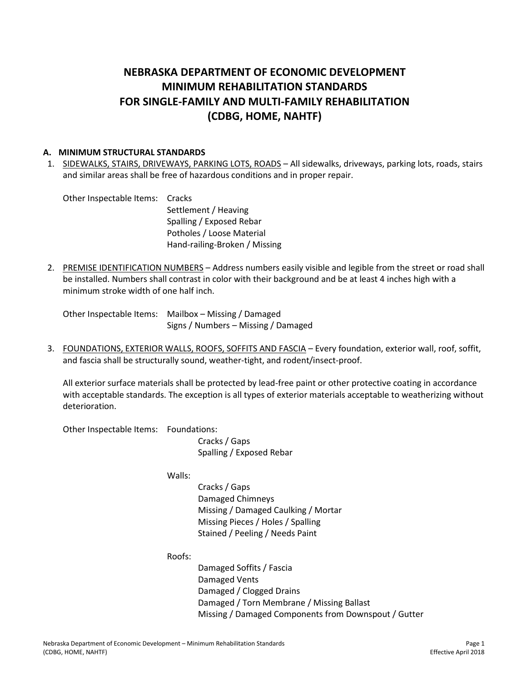# **NEBRASKA DEPARTMENT OF ECONOMIC DEVELOPMENT MINIMUM REHABILITATION STANDARDS FOR SINGLE-FAMILY AND MULTI-FAMILY REHABILITATION (CDBG, HOME, NAHTF)**

#### **A. MINIMUM STRUCTURAL STANDARDS**

1. SIDEWALKS, STAIRS, DRIVEWAYS, PARKING LOTS, ROADS – All sidewalks, driveways, parking lots, roads, stairs and similar areas shall be free of hazardous conditions and in proper repair.

Other Inspectable Items: Cracks Settlement / Heaving Spalling / Exposed Rebar Potholes / Loose Material Hand-railing-Broken / Missing

2. PREMISE IDENTIFICATION NUMBERS – Address numbers easily visible and legible from the street or road shall be installed. Numbers shall contrast in color with their background and be at least 4 inches high with a minimum stroke width of one half inch.

Other Inspectable Items: Mailbox – Missing / Damaged Signs / Numbers – Missing / Damaged

3. FOUNDATIONS, EXTERIOR WALLS, ROOFS, SOFFITS AND FASCIA – Every foundation, exterior wall, roof, soffit, and fascia shall be structurally sound, weather-tight, and rodent/insect-proof.

All exterior surface materials shall be protected by lead-free paint or other protective coating in accordance with acceptable standards. The exception is all types of exterior materials acceptable to weatherizing without deterioration.

Other Inspectable Items: Foundations:

Cracks / Gaps Spalling / Exposed Rebar

Walls:

Cracks / Gaps Damaged Chimneys Missing / Damaged Caulking / Mortar Missing Pieces / Holes / Spalling Stained / Peeling / Needs Paint

Roofs:

Damaged Soffits / Fascia Damaged Vents Damaged / Clogged Drains Damaged / Torn Membrane / Missing Ballast Missing / Damaged Components from Downspout / Gutter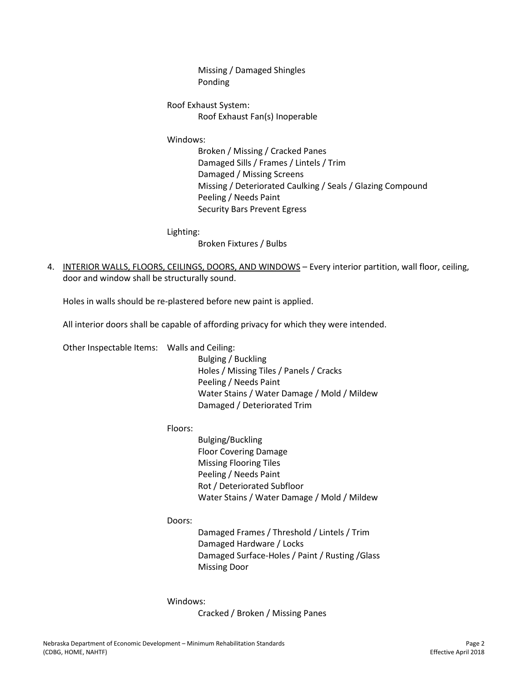Missing / Damaged Shingles Ponding

Roof Exhaust System: Roof Exhaust Fan(s) Inoperable

Windows:

Broken / Missing / Cracked Panes Damaged Sills / Frames / Lintels / Trim Damaged / Missing Screens Missing / Deteriorated Caulking / Seals / Glazing Compound Peeling / Needs Paint Security Bars Prevent Egress

Lighting:

Broken Fixtures / Bulbs

4. INTERIOR WALLS, FLOORS, CEILINGS, DOORS, AND WINDOWS – Every interior partition, wall floor, ceiling, door and window shall be structurally sound.

Holes in walls should be re-plastered before new paint is applied.

All interior doors shall be capable of affording privacy for which they were intended.

Other Inspectable Items: Walls and Ceiling:

Bulging / Buckling Holes / Missing Tiles / Panels / Cracks Peeling / Needs Paint Water Stains / Water Damage / Mold / Mildew Damaged / Deteriorated Trim

Floors:

Bulging/Buckling Floor Covering Damage Missing Flooring Tiles Peeling / Needs Paint Rot / Deteriorated Subfloor Water Stains / Water Damage / Mold / Mildew

Doors:

Damaged Frames / Threshold / Lintels / Trim Damaged Hardware / Locks Damaged Surface-Holes / Paint / Rusting /Glass Missing Door

Windows:

Cracked / Broken / Missing Panes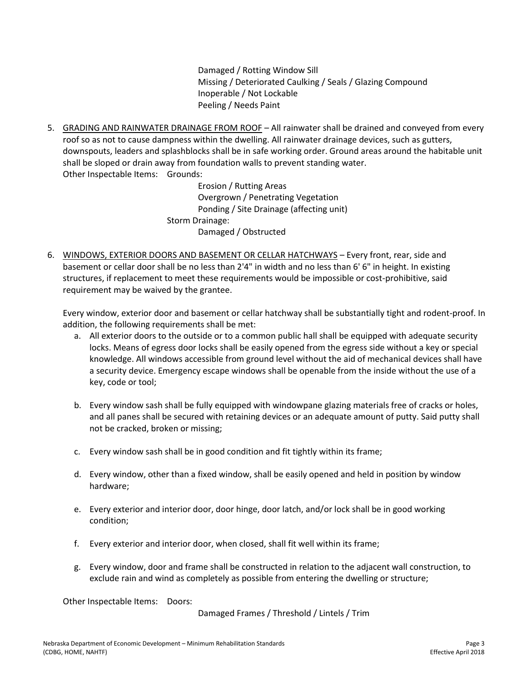Damaged / Rotting Window Sill Missing / Deteriorated Caulking / Seals / Glazing Compound Inoperable / Not Lockable Peeling / Needs Paint

5. GRADING AND RAINWATER DRAINAGE FROM ROOF – All rainwater shall be drained and conveyed from every roof so as not to cause dampness within the dwelling. All rainwater drainage devices, such as gutters, downspouts, leaders and splashblocks shall be in safe working order. Ground areas around the habitable unit shall be sloped or drain away from foundation walls to prevent standing water. Other Inspectable Items: Grounds:

> Erosion / Rutting Areas Overgrown / Penetrating Vegetation Ponding / Site Drainage (affecting unit) Storm Drainage: Damaged / Obstructed

6. WINDOWS, EXTERIOR DOORS AND BASEMENT OR CELLAR HATCHWAYS – Every front, rear, side and basement or cellar door shall be no less than 2'4" in width and no less than 6' 6" in height. In existing structures, if replacement to meet these requirements would be impossible or cost-prohibitive, said requirement may be waived by the grantee.

Every window, exterior door and basement or cellar hatchway shall be substantially tight and rodent-proof. In addition, the following requirements shall be met:

- a. All exterior doors to the outside or to a common public hall shall be equipped with adequate security locks. Means of egress door locks shall be easily opened from the egress side without a key or special knowledge. All windows accessible from ground level without the aid of mechanical devices shall have a security device. Emergency escape windows shall be openable from the inside without the use of a key, code or tool;
- b. Every window sash shall be fully equipped with windowpane glazing materials free of cracks or holes, and all panes shall be secured with retaining devices or an adequate amount of putty. Said putty shall not be cracked, broken or missing;
- c. Every window sash shall be in good condition and fit tightly within its frame;
- d. Every window, other than a fixed window, shall be easily opened and held in position by window hardware;
- e. Every exterior and interior door, door hinge, door latch, and/or lock shall be in good working condition;
- f. Every exterior and interior door, when closed, shall fit well within its frame;
- g. Every window, door and frame shall be constructed in relation to the adjacent wall construction, to exclude rain and wind as completely as possible from entering the dwelling or structure;

Other Inspectable Items: Doors:

Damaged Frames / Threshold / Lintels / Trim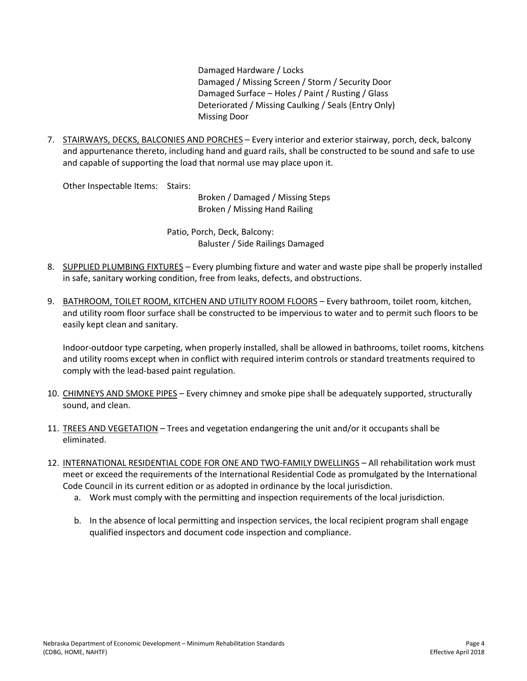Damaged Hardware / Locks Damaged / Missing Screen / Storm / Security Door Damaged Surface – Holes / Paint / Rusting / Glass Deteriorated / Missing Caulking / Seals (Entry Only) Missing Door

7. STAIRWAYS, DECKS, BALCONIES AND PORCHES - Every interior and exterior stairway, porch, deck, balcony and appurtenance thereto, including hand and guard rails, shall be constructed to be sound and safe to use and capable of supporting the load that normal use may place upon it.

Other Inspectable Items: Stairs:

Broken / Damaged / Missing Steps Broken / Missing Hand Railing

Patio, Porch, Deck, Balcony: Baluster / Side Railings Damaged

- 8. SUPPLIED PLUMBING FIXTURES Every plumbing fixture and water and waste pipe shall be properly installed in safe, sanitary working condition, free from leaks, defects, and obstructions.
- 9. BATHROOM, TOILET ROOM, KITCHEN AND UTILITY ROOM FLOORS Every bathroom, toilet room, kitchen, and utility room floor surface shall be constructed to be impervious to water and to permit such floors to be easily kept clean and sanitary.

Indoor-outdoor type carpeting, when properly installed, shall be allowed in bathrooms, toilet rooms, kitchens and utility rooms except when in conflict with required interim controls or standard treatments required to comply with the lead-based paint regulation.

- 10. CHIMNEYS AND SMOKE PIPES Every chimney and smoke pipe shall be adequately supported, structurally sound, and clean.
- 11. TREES AND VEGETATION Trees and vegetation endangering the unit and/or it occupants shall be eliminated.
- 12. INTERNATIONAL RESIDENTIAL CODE FOR ONE AND TWO-FAMILY DWELLINGS All rehabilitation work must meet or exceed the requirements of the International Residential Code as promulgated by the International Code Council in its current edition or as adopted in ordinance by the local jurisdiction.
	- a. Work must comply with the permitting and inspection requirements of the local jurisdiction.
	- b. In the absence of local permitting and inspection services, the local recipient program shall engage qualified inspectors and document code inspection and compliance.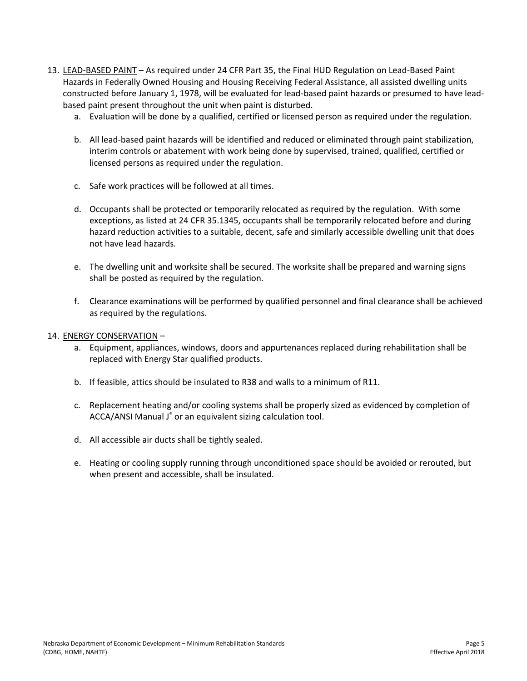- 13. LEAD-BASED PAINT As required under 24 CFR Part 35, the Final HUD Regulation on Lead-Based Paint Hazards in Federally Owned Housing and Housing Receiving Federal Assistance, all assisted dwelling units constructed before January 1, 1978, will be evaluated for lead-based paint hazards or presumed to have leadbased paint present throughout the unit when paint is disturbed.
	- a. Evaluation will be done by a qualified, certified or licensed person as required under the regulation.
	- b. All lead-based paint hazards will be identified and reduced or eliminated through paint stabilization, interim controls or abatement with work being done by supervised, trained, qualified, certified or licensed persons as required under the regulation.
	- c. Safe work practices will be followed at all times.
	- d. Occupants shall be protected or temporarily relocated as required by the regulation. With some exceptions, as listed at 24 CFR 35.1345, occupants shall be temporarily relocated before and during hazard reduction activities to a suitable, decent, safe and similarly accessible dwelling unit that does not have lead hazards.
	- e. The dwelling unit and worksite shall be secured. The worksite shall be prepared and warning signs shall be posted as required by the regulation.
	- f. Clearance examinations will be performed by qualified personnel and final clearance shall be achieved as required by the regulations.

#### 14. ENERGY CONSERVATION –

- a. Equipment, appliances, windows, doors and appurtenances replaced during rehabilitation shall be replaced with Energy Star qualified products.
- b. If feasible, attics should be insulated to R38 and walls to a minimum of R11.
- c. Replacement heating and/or cooling systems shall be properly sized as evidenced by completion of ACCA/ANSI Manual J® or an equivalent sizing calculation tool.
- d. All accessible air ducts shall be tightly sealed.
- e. Heating or cooling supply running through unconditioned space should be avoided or rerouted, but when present and accessible, shall be insulated.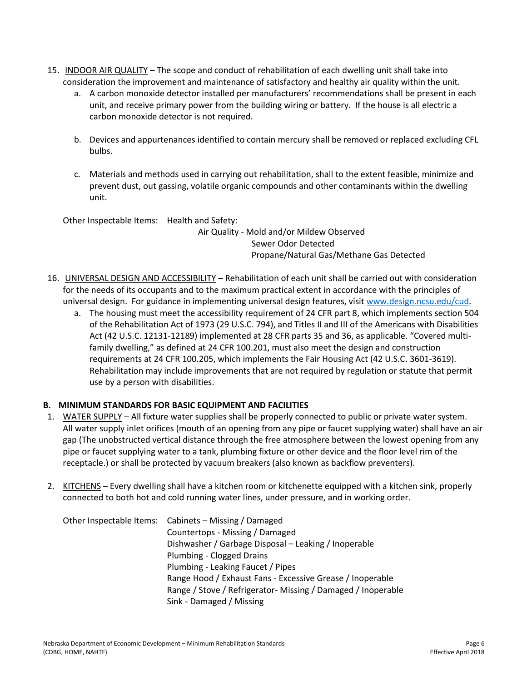- 15. INDOOR AIR QUALITY The scope and conduct of rehabilitation of each dwelling unit shall take into consideration the improvement and maintenance of satisfactory and healthy air quality within the unit.
	- a. A carbon monoxide detector installed per manufacturers' recommendations shall be present in each unit, and receive primary power from the building wiring or battery. If the house is all electric a carbon monoxide detector is not required.
	- b. Devices and appurtenances identified to contain mercury shall be removed or replaced excluding CFL bulbs.
	- c. Materials and methods used in carrying out rehabilitation, shall to the extent feasible, minimize and prevent dust, out gassing, volatile organic compounds and other contaminants within the dwelling unit.

Other Inspectable Items: Health and Safety:

Air Quality - Mold and/or Mildew Observed Sewer Odor Detected Propane/Natural Gas/Methane Gas Detected

- 16. UNIVERSAL DESIGN AND ACCESSIBILITY Rehabilitation of each unit shall be carried out with consideration for the needs of its occupants and to the maximum practical extent in accordance with the principles of universal design. For guidance in implementing universal design features, visit [www.design.ncsu.edu/cud.](http://www.design.ncsu.edu/cud)
	- a. The housing must meet the accessibility requirement of 24 CFR part 8, which implements section 504 of the Rehabilitation Act of 1973 (29 U.S.C. 794), and Titles II and III of the Americans with Disabilities Act (42 U.S.C. 12131-12189) implemented at 28 CFR parts 35 and 36, as applicable. "Covered multifamily dwelling," as defined at 24 CFR 100.201, must also meet the design and construction requirements at 24 CFR 100.205, which implements the Fair Housing Act (42 U.S.C. 3601-3619). Rehabilitation may include improvements that are not required by regulation or statute that permit use by a person with disabilities.

# **B. MINIMUM STANDARDS FOR BASIC EQUIPMENT AND FACILITIES**

- 1. WATER SUPPLY All fixture water supplies shall be properly connected to public or private water system. All water supply inlet orifices (mouth of an opening from any pipe or faucet supplying water) shall have an air gap (The unobstructed vertical distance through the free atmosphere between the lowest opening from any pipe or faucet supplying water to a tank, plumbing fixture or other device and the floor level rim of the receptacle.) or shall be protected by vacuum breakers (also known as backflow preventers).
- 2. KITCHENS Every dwelling shall have a kitchen room or kitchenette equipped with a kitchen sink, properly connected to both hot and cold running water lines, under pressure, and in working order.

|  | Other Inspectable Items: Cabinets - Missing / Damaged        |
|--|--------------------------------------------------------------|
|  | Countertops - Missing / Damaged                              |
|  | Dishwasher / Garbage Disposal - Leaking / Inoperable         |
|  | Plumbing - Clogged Drains                                    |
|  | Plumbing - Leaking Faucet / Pipes                            |
|  | Range Hood / Exhaust Fans - Excessive Grease / Inoperable    |
|  | Range / Stove / Refrigerator- Missing / Damaged / Inoperable |
|  | Sink - Damaged / Missing                                     |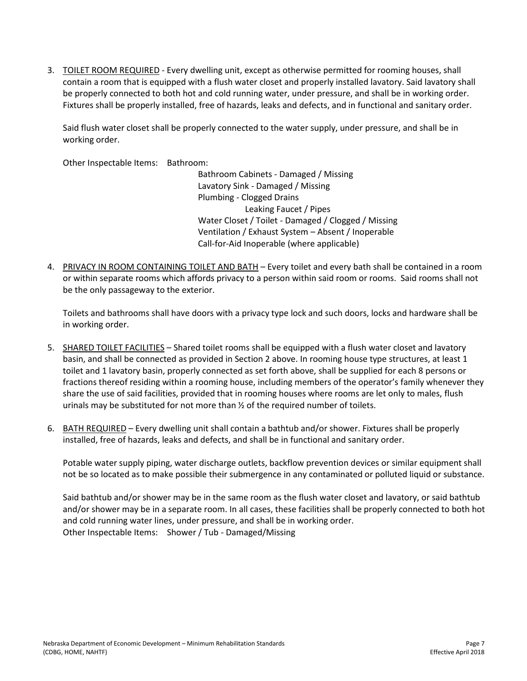3. TOILET ROOM REQUIRED - Every dwelling unit, except as otherwise permitted for rooming houses, shall contain a room that is equipped with a flush water closet and properly installed lavatory. Said lavatory shall be properly connected to both hot and cold running water, under pressure, and shall be in working order. Fixtures shall be properly installed, free of hazards, leaks and defects, and in functional and sanitary order.

Said flush water closet shall be properly connected to the water supply, under pressure, and shall be in working order.

Other Inspectable Items: Bathroom:

Bathroom Cabinets - Damaged / Missing Lavatory Sink - Damaged / Missing Plumbing - Clogged Drains Leaking Faucet / Pipes Water Closet / Toilet - Damaged / Clogged / Missing Ventilation / Exhaust System – Absent / Inoperable Call-for-Aid Inoperable (where applicable)

4. PRIVACY IN ROOM CONTAINING TOILET AND BATH – Every toilet and every bath shall be contained in a room or within separate rooms which affords privacy to a person within said room or rooms. Said rooms shall not be the only passageway to the exterior.

Toilets and bathrooms shall have doors with a privacy type lock and such doors, locks and hardware shall be in working order.

- 5. SHARED TOILET FACILITIES Shared toilet rooms shall be equipped with a flush water closet and lavatory basin, and shall be connected as provided in Section 2 above. In rooming house type structures, at least 1 toilet and 1 lavatory basin, properly connected as set forth above, shall be supplied for each 8 persons or fractions thereof residing within a rooming house, including members of the operator's family whenever they share the use of said facilities, provided that in rooming houses where rooms are let only to males, flush urinals may be substituted for not more than ½ of the required number of toilets.
- 6. BATH REQUIRED Every dwelling unit shall contain a bathtub and/or shower. Fixtures shall be properly installed, free of hazards, leaks and defects, and shall be in functional and sanitary order.

Potable water supply piping, water discharge outlets, backflow prevention devices or similar equipment shall not be so located as to make possible their submergence in any contaminated or polluted liquid or substance.

Said bathtub and/or shower may be in the same room as the flush water closet and lavatory, or said bathtub and/or shower may be in a separate room. In all cases, these facilities shall be properly connected to both hot and cold running water lines, under pressure, and shall be in working order. Other Inspectable Items: Shower / Tub - Damaged/Missing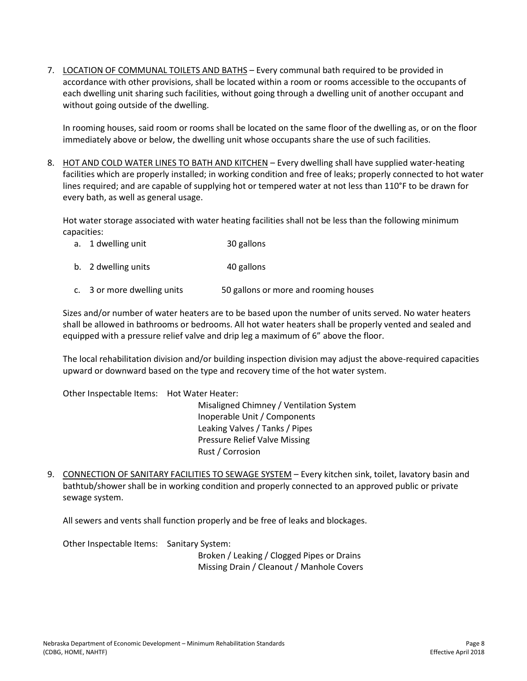7. LOCATION OF COMMUNAL TOILETS AND BATHS - Every communal bath required to be provided in accordance with other provisions, shall be located within a room or rooms accessible to the occupants of each dwelling unit sharing such facilities, without going through a dwelling unit of another occupant and without going outside of the dwelling.

In rooming houses, said room or rooms shall be located on the same floor of the dwelling as, or on the floor immediately above or below, the dwelling unit whose occupants share the use of such facilities.

8. HOT AND COLD WATER LINES TO BATH AND KITCHEN – Every dwelling shall have supplied water-heating facilities which are properly installed; in working condition and free of leaks; properly connected to hot water lines required; and are capable of supplying hot or tempered water at not less than 110°F to be drawn for every bath, as well as general usage.

Hot water storage associated with water heating facilities shall not be less than the following minimum capacities:

- a. 1 dwelling unit 30 gallons
- b. 2 dwelling units 40 gallons
- c. 3 or more dwelling units 50 gallons or more and rooming houses

Sizes and/or number of water heaters are to be based upon the number of units served. No water heaters shall be allowed in bathrooms or bedrooms. All hot water heaters shall be properly vented and sealed and equipped with a pressure relief valve and drip leg a maximum of 6" above the floor.

The local rehabilitation division and/or building inspection division may adjust the above-required capacities upward or downward based on the type and recovery time of the hot water system.

Other Inspectable Items: Hot Water Heater:

Misaligned Chimney / Ventilation System Inoperable Unit / Components Leaking Valves / Tanks / Pipes Pressure Relief Valve Missing Rust / Corrosion

9. CONNECTION OF SANITARY FACILITIES TO SEWAGE SYSTEM - Every kitchen sink, toilet, lavatory basin and bathtub/shower shall be in working condition and properly connected to an approved public or private sewage system.

All sewers and vents shall function properly and be free of leaks and blockages.

Other Inspectable Items: Sanitary System:

Broken / Leaking / Clogged Pipes or Drains Missing Drain / Cleanout / Manhole Covers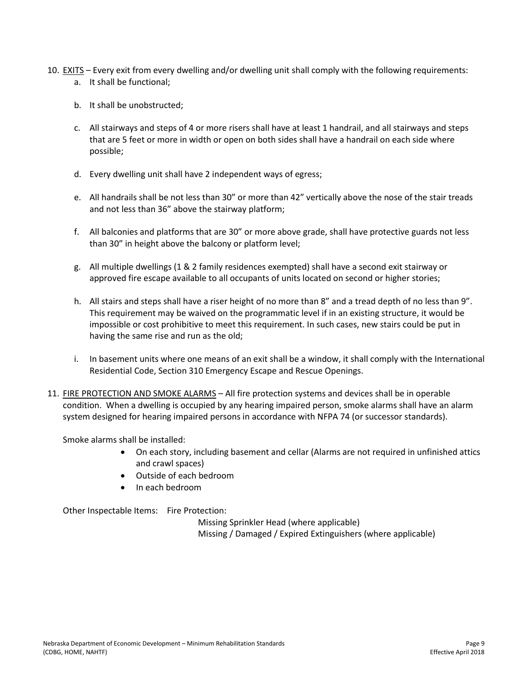- 10. EXITS Every exit from every dwelling and/or dwelling unit shall comply with the following requirements: a. It shall be functional;
	- b. It shall be unobstructed;
	- c. All stairways and steps of 4 or more risers shall have at least 1 handrail, and all stairways and steps that are 5 feet or more in width or open on both sides shall have a handrail on each side where possible;
	- d. Every dwelling unit shall have 2 independent ways of egress;
	- e. All handrails shall be not less than 30" or more than 42" vertically above the nose of the stair treads and not less than 36" above the stairway platform;
	- f. All balconies and platforms that are 30" or more above grade, shall have protective guards not less than 30" in height above the balcony or platform level;
	- g. All multiple dwellings (1 & 2 family residences exempted) shall have a second exit stairway or approved fire escape available to all occupants of units located on second or higher stories;
	- h. All stairs and steps shall have a riser height of no more than 8" and a tread depth of no less than 9". This requirement may be waived on the programmatic level if in an existing structure, it would be impossible or cost prohibitive to meet this requirement. In such cases, new stairs could be put in having the same rise and run as the old;
	- i. In basement units where one means of an exit shall be a window, it shall comply with the International Residential Code, Section 310 Emergency Escape and Rescue Openings.
- 11. FIRE PROTECTION AND SMOKE ALARMS All fire protection systems and devices shall be in operable condition. When a dwelling is occupied by any hearing impaired person, smoke alarms shall have an alarm system designed for hearing impaired persons in accordance with NFPA 74 (or successor standards).

Smoke alarms shall be installed:

- On each story, including basement and cellar (Alarms are not required in unfinished attics and crawl spaces)
- Outside of each bedroom
- In each bedroom

Other Inspectable Items: Fire Protection:

Missing Sprinkler Head (where applicable) Missing / Damaged / Expired Extinguishers (where applicable)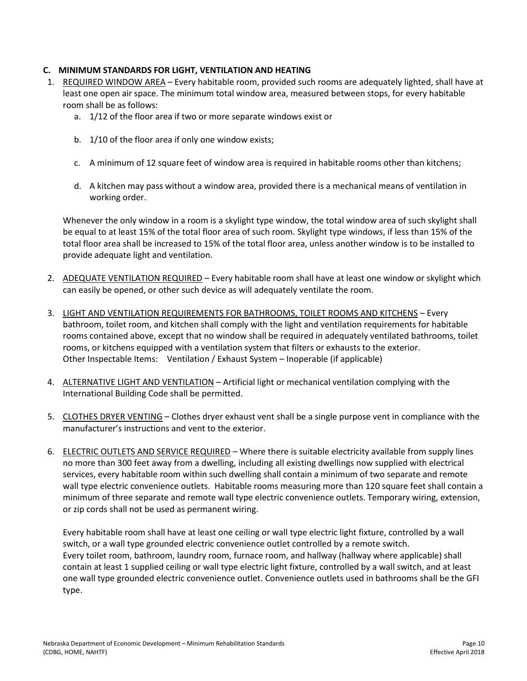# **C. MINIMUM STANDARDS FOR LIGHT, VENTILATION AND HEATING**

- 1. REQUIRED WINDOW AREA Every habitable room, provided such rooms are adequately lighted, shall have at least one open air space. The minimum total window area, measured between stops, for every habitable room shall be as follows:
	- a. 1/12 of the floor area if two or more separate windows exist or
	- b. 1/10 of the floor area if only one window exists;
	- c. A minimum of 12 square feet of window area is required in habitable rooms other than kitchens;
	- d. A kitchen may pass without a window area, provided there is a mechanical means of ventilation in working order.

Whenever the only window in a room is a skylight type window, the total window area of such skylight shall be equal to at least 15% of the total floor area of such room. Skylight type windows, if less than 15% of the total floor area shall be increased to 15% of the total floor area, unless another window is to be installed to provide adequate light and ventilation.

- 2. ADEQUATE VENTILATION REQUIRED Every habitable room shall have at least one window or skylight which can easily be opened, or other such device as will adequately ventilate the room.
- 3. LIGHT AND VENTILATION REQUIREMENTS FOR BATHROOMS, TOILET ROOMS AND KITCHENS Every bathroom, toilet room, and kitchen shall comply with the light and ventilation requirements for habitable rooms contained above, except that no window shall be required in adequately ventilated bathrooms, toilet rooms, or kitchens equipped with a ventilation system that filters or exhausts to the exterior. Other Inspectable Items: Ventilation / Exhaust System – Inoperable (if applicable)
- 4. ALTERNATIVE LIGHT AND VENTILATION Artificial light or mechanical ventilation complying with the International Building Code shall be permitted.
- 5. CLOTHES DRYER VENTING Clothes dryer exhaust vent shall be a single purpose vent in compliance with the manufacturer's instructions and vent to the exterior.
- 6. ELECTRIC OUTLETS AND SERVICE REQUIRED Where there is suitable electricity available from supply lines no more than 300 feet away from a dwelling, including all existing dwellings now supplied with electrical services, every habitable room within such dwelling shall contain a minimum of two separate and remote wall type electric convenience outlets. Habitable rooms measuring more than 120 square feet shall contain a minimum of three separate and remote wall type electric convenience outlets. Temporary wiring, extension, or zip cords shall not be used as permanent wiring.

Every habitable room shall have at least one ceiling or wall type electric light fixture, controlled by a wall switch, or a wall type grounded electric convenience outlet controlled by a remote switch. Every toilet room, bathroom, laundry room, furnace room, and hallway (hallway where applicable) shall contain at least 1 supplied ceiling or wall type electric light fixture, controlled by a wall switch, and at least one wall type grounded electric convenience outlet. Convenience outlets used in bathrooms shall be the GFI type.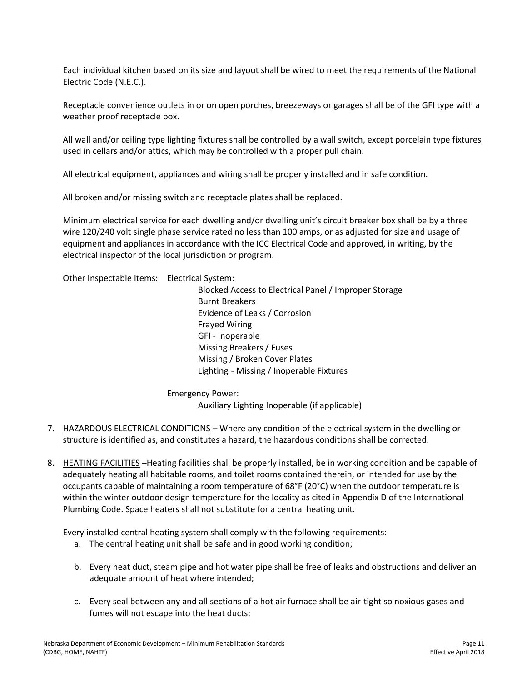Each individual kitchen based on its size and layout shall be wired to meet the requirements of the National Electric Code (N.E.C.).

Receptacle convenience outlets in or on open porches, breezeways or garages shall be of the GFI type with a weather proof receptacle box.

All wall and/or ceiling type lighting fixtures shall be controlled by a wall switch, except porcelain type fixtures used in cellars and/or attics, which may be controlled with a proper pull chain.

All electrical equipment, appliances and wiring shall be properly installed and in safe condition.

All broken and/or missing switch and receptacle plates shall be replaced.

Minimum electrical service for each dwelling and/or dwelling unit's circuit breaker box shall be by a three wire 120/240 volt single phase service rated no less than 100 amps, or as adjusted for size and usage of equipment and appliances in accordance with the ICC Electrical Code and approved, in writing, by the electrical inspector of the local jurisdiction or program.

Other Inspectable Items: Electrical System:

Blocked Access to Electrical Panel / Improper Storage Burnt Breakers Evidence of Leaks / Corrosion Frayed Wiring GFI - Inoperable Missing Breakers / Fuses Missing / Broken Cover Plates Lighting - Missing / Inoperable Fixtures

Emergency Power: Auxiliary Lighting Inoperable (if applicable)

- 7. HAZARDOUS ELECTRICAL CONDITIONS Where any condition of the electrical system in the dwelling or structure is identified as, and constitutes a hazard, the hazardous conditions shall be corrected.
- 8. HEATING FACILITIES Heating facilities shall be properly installed, be in working condition and be capable of adequately heating all habitable rooms, and toilet rooms contained therein, or intended for use by the occupants capable of maintaining a room temperature of 68°F (20°C) when the outdoor temperature is within the winter outdoor design temperature for the locality as cited in Appendix D of the International Plumbing Code. Space heaters shall not substitute for a central heating unit.

Every installed central heating system shall comply with the following requirements:

- a. The central heating unit shall be safe and in good working condition;
- b. Every heat duct, steam pipe and hot water pipe shall be free of leaks and obstructions and deliver an adequate amount of heat where intended;
- c. Every seal between any and all sections of a hot air furnace shall be air-tight so noxious gases and fumes will not escape into the heat ducts;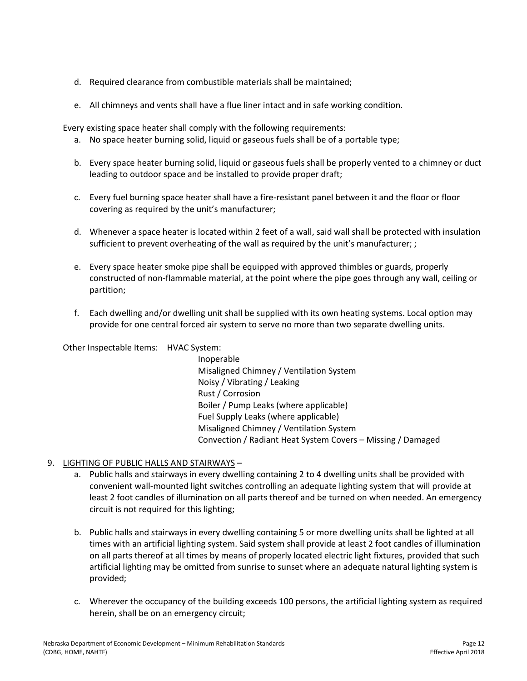- d. Required clearance from combustible materials shall be maintained;
- e. All chimneys and vents shall have a flue liner intact and in safe working condition.

Every existing space heater shall comply with the following requirements:

- a. No space heater burning solid, liquid or gaseous fuels shall be of a portable type;
- b. Every space heater burning solid, liquid or gaseous fuels shall be properly vented to a chimney or duct leading to outdoor space and be installed to provide proper draft;
- c. Every fuel burning space heater shall have a fire-resistant panel between it and the floor or floor covering as required by the unit's manufacturer;
- d. Whenever a space heater is located within 2 feet of a wall, said wall shall be protected with insulation sufficient to prevent overheating of the wall as required by the unit's manufacturer; ;
- e. Every space heater smoke pipe shall be equipped with approved thimbles or guards, properly constructed of non-flammable material, at the point where the pipe goes through any wall, ceiling or partition;
- f. Each dwelling and/or dwelling unit shall be supplied with its own heating systems. Local option may provide for one central forced air system to serve no more than two separate dwelling units.

Other Inspectable Items: HVAC System:

Inoperable Misaligned Chimney / Ventilation System Noisy / Vibrating / Leaking Rust / Corrosion Boiler / Pump Leaks (where applicable) Fuel Supply Leaks (where applicable) Misaligned Chimney / Ventilation System Convection / Radiant Heat System Covers – Missing / Damaged

# 9. LIGHTING OF PUBLIC HALLS AND STAIRWAYS –

- a. Public halls and stairways in every dwelling containing 2 to 4 dwelling units shall be provided with convenient wall-mounted light switches controlling an adequate lighting system that will provide at least 2 foot candles of illumination on all parts thereof and be turned on when needed. An emergency circuit is not required for this lighting;
- b. Public halls and stairways in every dwelling containing 5 or more dwelling units shall be lighted at all times with an artificial lighting system. Said system shall provide at least 2 foot candles of illumination on all parts thereof at all times by means of properly located electric light fixtures, provided that such artificial lighting may be omitted from sunrise to sunset where an adequate natural lighting system is provided;
- c. Wherever the occupancy of the building exceeds 100 persons, the artificial lighting system as required herein, shall be on an emergency circuit;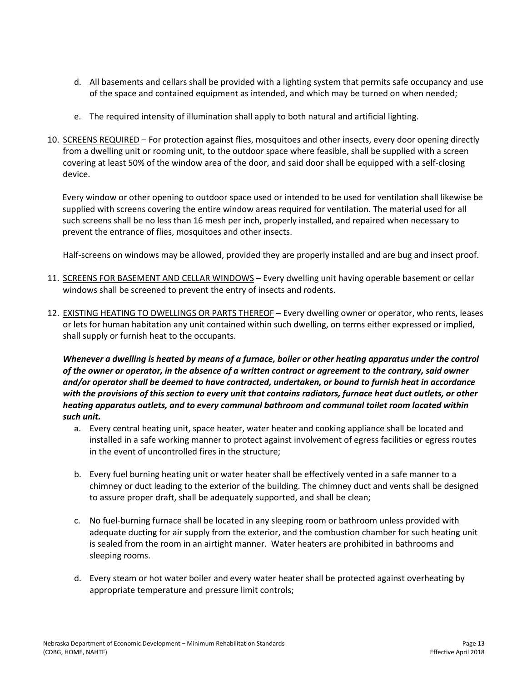- d. All basements and cellars shall be provided with a lighting system that permits safe occupancy and use of the space and contained equipment as intended, and which may be turned on when needed;
- e. The required intensity of illumination shall apply to both natural and artificial lighting.
- 10. SCREENS REQUIRED For protection against flies, mosquitoes and other insects, every door opening directly from a dwelling unit or rooming unit, to the outdoor space where feasible, shall be supplied with a screen covering at least 50% of the window area of the door, and said door shall be equipped with a self-closing device.

Every window or other opening to outdoor space used or intended to be used for ventilation shall likewise be supplied with screens covering the entire window areas required for ventilation. The material used for all such screens shall be no less than 16 mesh per inch, properly installed, and repaired when necessary to prevent the entrance of flies, mosquitoes and other insects.

Half-screens on windows may be allowed, provided they are properly installed and are bug and insect proof.

- 11. SCREENS FOR BASEMENT AND CELLAR WINDOWS Every dwelling unit having operable basement or cellar windows shall be screened to prevent the entry of insects and rodents.
- 12. EXISTING HEATING TO DWELLINGS OR PARTS THEREOF Every dwelling owner or operator, who rents, leases or lets for human habitation any unit contained within such dwelling, on terms either expressed or implied, shall supply or furnish heat to the occupants.

*Whenever a dwelling is heated by means of a furnace, boiler or other heating apparatus under the control of the owner or operator, in the absence of a written contract or agreement to the contrary, said owner and/or operator shall be deemed to have contracted, undertaken, or bound to furnish heat in accordance with the provisions of this section to every unit that contains radiators, furnace heat duct outlets, or other heating apparatus outlets, and to every communal bathroom and communal toilet room located within such unit.*

- a. Every central heating unit, space heater, water heater and cooking appliance shall be located and installed in a safe working manner to protect against involvement of egress facilities or egress routes in the event of uncontrolled fires in the structure;
- b. Every fuel burning heating unit or water heater shall be effectively vented in a safe manner to a chimney or duct leading to the exterior of the building. The chimney duct and vents shall be designed to assure proper draft, shall be adequately supported, and shall be clean;
- c. No fuel-burning furnace shall be located in any sleeping room or bathroom unless provided with adequate ducting for air supply from the exterior, and the combustion chamber for such heating unit is sealed from the room in an airtight manner. Water heaters are prohibited in bathrooms and sleeping rooms.
- d. Every steam or hot water boiler and every water heater shall be protected against overheating by appropriate temperature and pressure limit controls;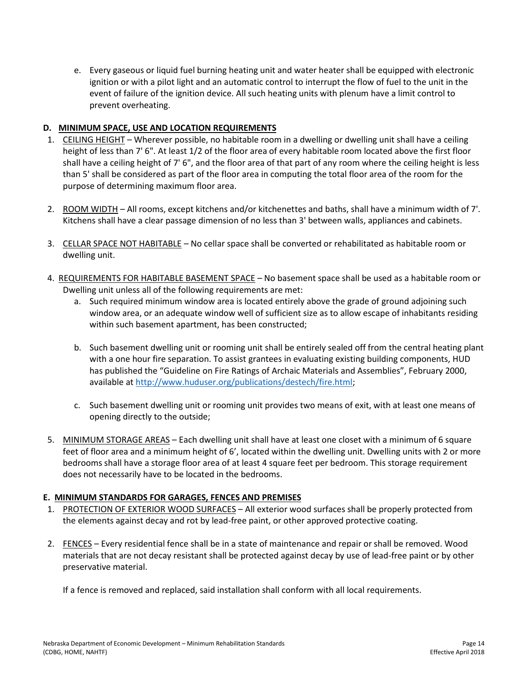e. Every gaseous or liquid fuel burning heating unit and water heater shall be equipped with electronic ignition or with a pilot light and an automatic control to interrupt the flow of fuel to the unit in the event of failure of the ignition device. All such heating units with plenum have a limit control to prevent overheating.

#### **D. MINIMUM SPACE, USE AND LOCATION REQUIREMENTS**

- 1. CEILING HEIGHT Wherever possible, no habitable room in a dwelling or dwelling unit shall have a ceiling height of less than 7' 6". At least 1/2 of the floor area of every habitable room located above the first floor shall have a ceiling height of 7' 6", and the floor area of that part of any room where the ceiling height is less than 5' shall be considered as part of the floor area in computing the total floor area of the room for the purpose of determining maximum floor area.
- 2. ROOM WIDTH All rooms, except kitchens and/or kitchenettes and baths, shall have a minimum width of 7'. Kitchens shall have a clear passage dimension of no less than 3' between walls, appliances and cabinets.
- 3. CELLAR SPACE NOT HABITABLE No cellar space shall be converted or rehabilitated as habitable room or dwelling unit.
- 4. REQUIREMENTS FOR HABITABLE BASEMENT SPACE No basement space shall be used as a habitable room or Dwelling unit unless all of the following requirements are met:
	- a. Such required minimum window area is located entirely above the grade of ground adjoining such window area, or an adequate window well of sufficient size as to allow escape of inhabitants residing within such basement apartment, has been constructed;
	- b. Such basement dwelling unit or rooming unit shall be entirely sealed off from the central heating plant with a one hour fire separation. To assist grantees in evaluating existing building components, HUD has published the "Guideline on Fire Ratings of Archaic Materials and Assemblies", February 2000, available a[t http://www.huduser.org/publications/destech/fire.html;](http://www.huduser.org/publications/destech/fire.html)
	- c. Such basement dwelling unit or rooming unit provides two means of exit, with at least one means of opening directly to the outside;
- 5. MINIMUM STORAGE AREAS Each dwelling unit shall have at least one closet with a minimum of 6 square feet of floor area and a minimum height of 6', located within the dwelling unit. Dwelling units with 2 or more bedrooms shall have a storage floor area of at least 4 square feet per bedroom. This storage requirement does not necessarily have to be located in the bedrooms.

#### **E. MINIMUM STANDARDS FOR GARAGES, FENCES AND PREMISES**

- 1. PROTECTION OF EXTERIOR WOOD SURFACES All exterior wood surfaces shall be properly protected from the elements against decay and rot by lead-free paint, or other approved protective coating.
- 2. FENCES Every residential fence shall be in a state of maintenance and repair or shall be removed. Wood materials that are not decay resistant shall be protected against decay by use of lead-free paint or by other preservative material.

If a fence is removed and replaced, said installation shall conform with all local requirements.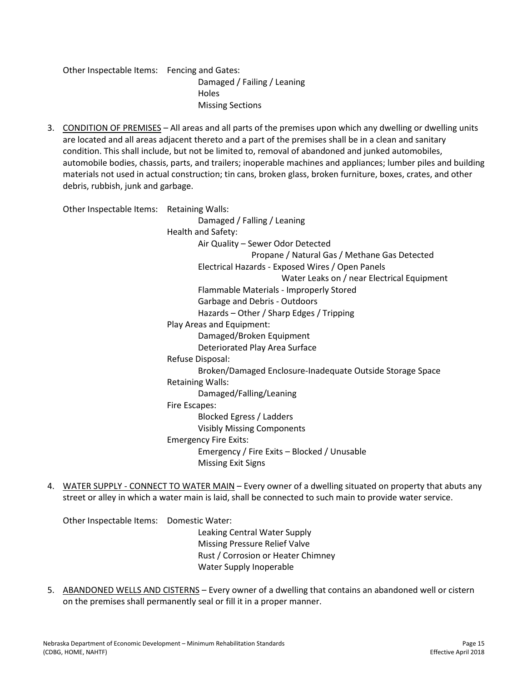Other Inspectable Items: Fencing and Gates: Damaged / Failing / Leaning **Holes** Missing Sections

3. CONDITION OF PREMISES – All areas and all parts of the premises upon which any dwelling or dwelling units are located and all areas adjacent thereto and a part of the premises shall be in a clean and sanitary condition. This shall include, but not be limited to, removal of abandoned and junked automobiles, automobile bodies, chassis, parts, and trailers; inoperable machines and appliances; lumber piles and building materials not used in actual construction; tin cans, broken glass, broken furniture, boxes, crates, and other debris, rubbish, junk and garbage.

| Other Inspectable Items: Retaining Walls: |                                                           |
|-------------------------------------------|-----------------------------------------------------------|
|                                           | Damaged / Falling / Leaning                               |
|                                           | Health and Safety:                                        |
|                                           | Air Quality - Sewer Odor Detected                         |
|                                           | Propane / Natural Gas / Methane Gas Detected              |
|                                           | Electrical Hazards - Exposed Wires / Open Panels          |
|                                           | Water Leaks on / near Electrical Equipment                |
|                                           | Flammable Materials - Improperly Stored                   |
|                                           | Garbage and Debris - Outdoors                             |
|                                           | Hazards - Other / Sharp Edges / Tripping                  |
|                                           | Play Areas and Equipment:                                 |
|                                           | Damaged/Broken Equipment                                  |
|                                           | Deteriorated Play Area Surface                            |
|                                           | Refuse Disposal:                                          |
|                                           | Broken/Damaged Enclosure-Inadequate Outside Storage Space |
|                                           | <b>Retaining Walls:</b>                                   |
|                                           | Damaged/Falling/Leaning                                   |
|                                           | Fire Escapes:                                             |
|                                           | Blocked Egress / Ladders                                  |
|                                           | <b>Visibly Missing Components</b>                         |
|                                           | <b>Emergency Fire Exits:</b>                              |
|                                           | Emergency / Fire Exits - Blocked / Unusable               |
|                                           | <b>Missing Exit Signs</b>                                 |
|                                           |                                                           |

4. WATER SUPPLY - CONNECT TO WATER MAIN – Every owner of a dwelling situated on property that abuts any street or alley in which a water main is laid, shall be connected to such main to provide water service.

Other Inspectable Items: Domestic Water:

Leaking Central Water Supply Missing Pressure Relief Valve Rust / Corrosion or Heater Chimney Water Supply Inoperable

5. ABANDONED WELLS AND CISTERNS - Every owner of a dwelling that contains an abandoned well or cistern on the premises shall permanently seal or fill it in a proper manner.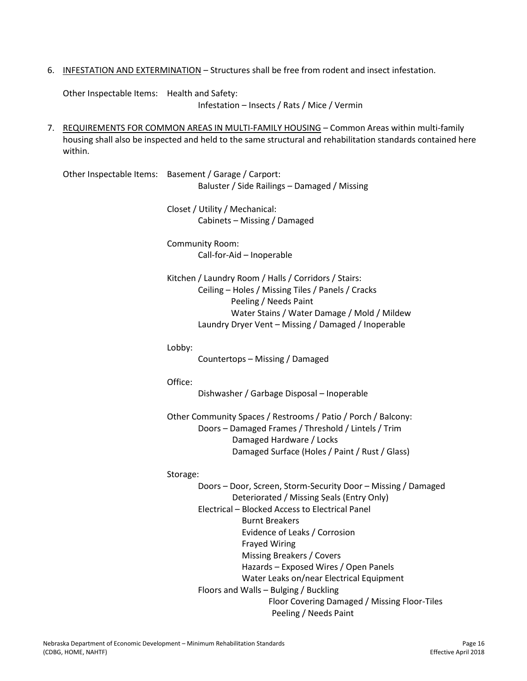6. INFESTATION AND EXTERMINATION – Structures shall be free from rodent and insect infestation.

Other Inspectable Items: Health and Safety:

Infestation – Insects / Rats / Mice / Vermin

7. REQUIREMENTS FOR COMMON AREAS IN MULTI-FAMILY HOUSING – Common Areas within multi-family housing shall also be inspected and held to the same structural and rehabilitation standards contained here within.

Other Inspectable Items: Basement / Garage / Carport: Baluster / Side Railings – Damaged / Missing

> Closet / Utility / Mechanical: Cabinets – Missing / Damaged

Community Room: Call-for-Aid – Inoperable

Kitchen / Laundry Room / Halls / Corridors / Stairs: Ceiling – Holes / Missing Tiles / Panels / Cracks Peeling / Needs Paint Water Stains / Water Damage / Mold / Mildew Laundry Dryer Vent – Missing / Damaged / Inoperable

Lobby:

Countertops – Missing / Damaged

Office:

Dishwasher / Garbage Disposal – Inoperable

Other Community Spaces / Restrooms / Patio / Porch / Balcony: Doors – Damaged Frames / Threshold / Lintels / Trim Damaged Hardware / Locks Damaged Surface (Holes / Paint / Rust / Glass)

#### Storage:

Doors – Door, Screen, Storm-Security Door – Missing / Damaged Deteriorated / Missing Seals (Entry Only) Electrical – Blocked Access to Electrical Panel Burnt Breakers Evidence of Leaks / Corrosion Frayed Wiring Missing Breakers / Covers Hazards – Exposed Wires / Open Panels Water Leaks on/near Electrical Equipment Floors and Walls – Bulging / Buckling Floor Covering Damaged / Missing Floor-Tiles Peeling / Needs Paint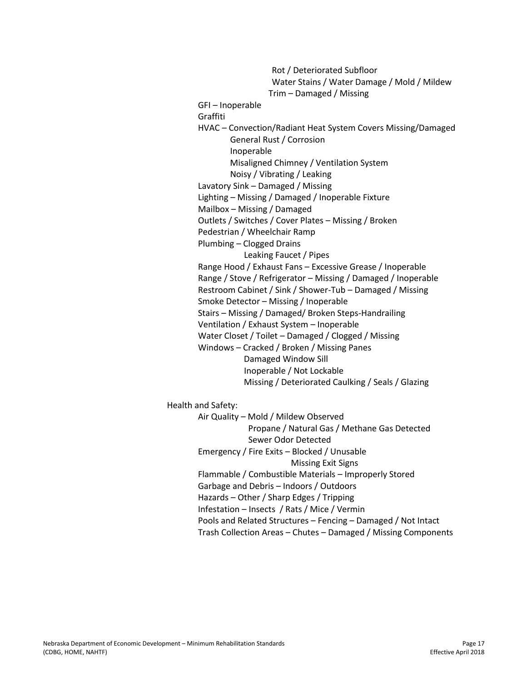Rot / Deteriorated Subfloor Water Stains / Water Damage / Mold / Mildew Trim – Damaged / Missing GFI – Inoperable Graffiti HVAC – Convection/Radiant Heat System Covers Missing/Damaged General Rust / Corrosion Inoperable Misaligned Chimney / Ventilation System Noisy / Vibrating / Leaking Lavatory Sink – Damaged / Missing Lighting – Missing / Damaged / Inoperable Fixture Mailbox – Missing / Damaged Outlets / Switches / Cover Plates – Missing / Broken Pedestrian / Wheelchair Ramp Plumbing – Clogged Drains Leaking Faucet / Pipes Range Hood / Exhaust Fans – Excessive Grease / Inoperable Range / Stove / Refrigerator – Missing / Damaged / Inoperable Restroom Cabinet / Sink / Shower-Tub – Damaged / Missing Smoke Detector – Missing / Inoperable Stairs – Missing / Damaged/ Broken Steps-Handrailing Ventilation / Exhaust System – Inoperable Water Closet / Toilet – Damaged / Clogged / Missing Windows – Cracked / Broken / Missing Panes Damaged Window Sill Inoperable / Not Lockable Missing / Deteriorated Caulking / Seals / Glazing Health and Safety: Air Quality – Mold / Mildew Observed

 Propane / Natural Gas / Methane Gas Detected Sewer Odor Detected

Emergency / Fire Exits – Blocked / Unusable Missing Exit Signs

Flammable / Combustible Materials – Improperly Stored

Garbage and Debris – Indoors / Outdoors

Hazards – Other / Sharp Edges / Tripping

Infestation – Insects / Rats / Mice / Vermin

Pools and Related Structures – Fencing – Damaged / Not Intact

Trash Collection Areas – Chutes – Damaged / Missing Components